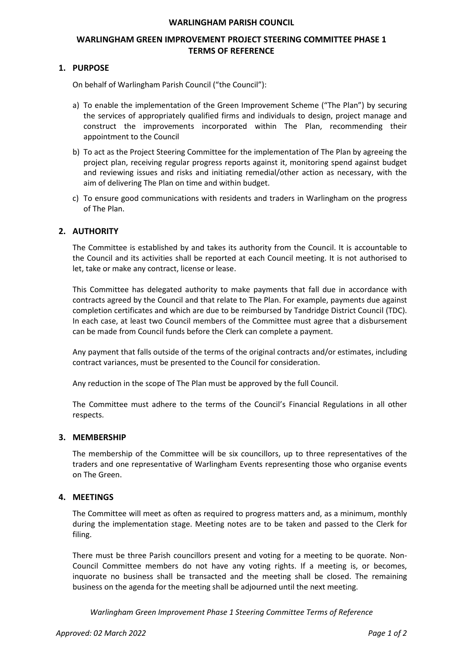### **WARLINGHAM PARISH COUNCIL**

# **WARLINGHAM GREEN IMPROVEMENT PROJECT STEERING COMMITTEE PHASE 1 TERMS OF REFERENCE**

## **1. PURPOSE**

On behalf of Warlingham Parish Council ("the Council"):

- a) To enable the implementation of the Green Improvement Scheme ("The Plan") by securing the services of appropriately qualified firms and individuals to design, project manage and construct the improvements incorporated within The Plan, recommending their appointment to the Council
- b) To act as the Project Steering Committee for the implementation of The Plan by agreeing the project plan, receiving regular progress reports against it, monitoring spend against budget and reviewing issues and risks and initiating remedial/other action as necessary, with the aim of delivering The Plan on time and within budget.
- c) To ensure good communications with residents and traders in Warlingham on the progress of The Plan.

## **2. AUTHORITY**

The Committee is established by and takes its authority from the Council. It is accountable to the Council and its activities shall be reported at each Council meeting. It is not authorised to let, take or make any contract, license or lease.

This Committee has delegated authority to make payments that fall due in accordance with contracts agreed by the Council and that relate to The Plan. For example, payments due against completion certificates and which are due to be reimbursed by Tandridge District Council (TDC). In each case, at least two Council members of the Committee must agree that a disbursement can be made from Council funds before the Clerk can complete a payment.

Any payment that falls outside of the terms of the original contracts and/or estimates, including contract variances, must be presented to the Council for consideration.

Any reduction in the scope of The Plan must be approved by the full Council.

The Committee must adhere to the terms of the Council's Financial Regulations in all other respects.

#### **3. MEMBERSHIP**

The membership of the Committee will be six councillors, up to three representatives of the traders and one representative of Warlingham Events representing those who organise events on The Green.

#### **4. MEETINGS**

The Committee will meet as often as required to progress matters and, as a minimum, monthly during the implementation stage. Meeting notes are to be taken and passed to the Clerk for filing.

There must be three Parish councillors present and voting for a meeting to be quorate. Non-Council Committee members do not have any voting rights. If a meeting is, or becomes, inquorate no business shall be transacted and the meeting shall be closed. The remaining business on the agenda for the meeting shall be adjourned until the next meeting.

*Warlingham Green Improvement Phase 1 Steering Committee Terms of Reference*